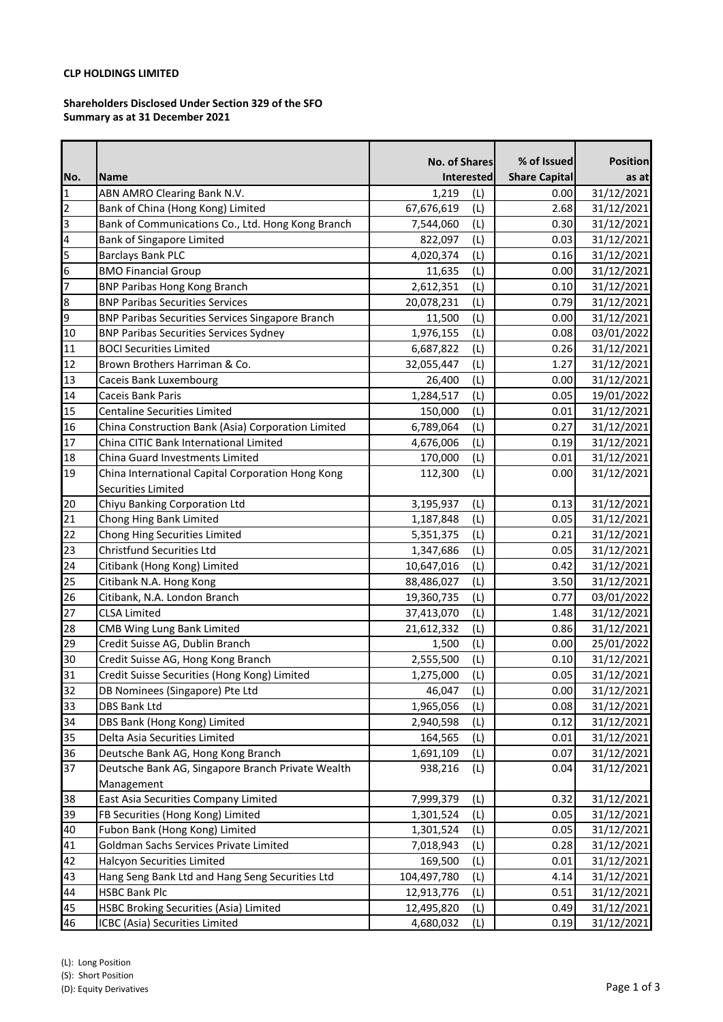# **CLP HOLDINGS LIMITED**

### **Shareholders Disclosed Under Section 329 of the SFO Summary as at 31 December 2021**

|                |                                                         | <b>No. of Shares</b> |     | % of Issued          | <b>Position</b> |
|----------------|---------------------------------------------------------|----------------------|-----|----------------------|-----------------|
| No.            | Name                                                    | Interested           |     | <b>Share Capital</b> | as at           |
| $\mathbf{1}$   | ABN AMRO Clearing Bank N.V.                             | 1,219                | (L) | 0.00                 | 31/12/2021      |
| $\overline{2}$ | Bank of China (Hong Kong) Limited                       | 67,676,619           | (L) | 2.68                 | 31/12/2021      |
| 3              | Bank of Communications Co., Ltd. Hong Kong Branch       | 7,544,060            | (L) | 0.30                 | 31/12/2021      |
| 4              | <b>Bank of Singapore Limited</b>                        | 822,097              | (L) | 0.03                 | 31/12/2021      |
| 5              | <b>Barclays Bank PLC</b>                                | 4,020,374            | (L) | 0.16                 | 31/12/2021      |
| 6              | <b>BMO Financial Group</b>                              | 11,635               | (L) | 0.00                 | 31/12/2021      |
| $\overline{7}$ | <b>BNP Paribas Hong Kong Branch</b>                     | 2,612,351            | (L) | 0.10                 | 31/12/2021      |
| 8              | <b>BNP Paribas Securities Services</b>                  | 20,078,231           | (L) | 0.79                 | 31/12/2021      |
| 9              | <b>BNP Paribas Securities Services Singapore Branch</b> | 11,500               | (L) | 0.00                 | 31/12/2021      |
| 10             | <b>BNP Paribas Securities Services Sydney</b>           | 1,976,155            | (L) | 0.08                 | 03/01/2022      |
| 11             | <b>BOCI Securities Limited</b>                          | 6,687,822            | (L) | 0.26                 | 31/12/2021      |
| 12             | Brown Brothers Harriman & Co.                           | 32,055,447           | (L) | 1.27                 | 31/12/2021      |
| 13             | Caceis Bank Luxembourg                                  | 26,400               | (L) | 0.00                 | 31/12/2021      |
| 14             | Caceis Bank Paris                                       | 1,284,517            | (L) | 0.05                 | 19/01/2022      |
| 15             | <b>Centaline Securities Limited</b>                     | 150,000              | (L) | 0.01                 | 31/12/2021      |
| 16             | China Construction Bank (Asia) Corporation Limited      | 6,789,064            | (L) | 0.27                 | 31/12/2021      |
| 17             | China CITIC Bank International Limited                  | 4,676,006            | (L) | 0.19                 | 31/12/2021      |
| 18             | China Guard Investments Limited                         | 170,000              | (L) | 0.01                 | 31/12/2021      |
| 19             | China International Capital Corporation Hong Kong       | 112,300              | (L) | 0.00                 | 31/12/2021      |
|                | Securities Limited                                      |                      |     |                      |                 |
| 20             | Chiyu Banking Corporation Ltd                           | 3,195,937            | (L) | 0.13                 | 31/12/2021      |
| 21             | Chong Hing Bank Limited                                 | 1,187,848            | (L) | 0.05                 | 31/12/2021      |
| 22             | Chong Hing Securities Limited                           | 5,351,375            | (L) | 0.21                 | 31/12/2021      |
| 23             | <b>Christfund Securities Ltd</b>                        | 1,347,686            | (L) | 0.05                 | 31/12/2021      |
| 24             | Citibank (Hong Kong) Limited                            | 10,647,016           | (L) | 0.42                 | 31/12/2021      |
| 25             | Citibank N.A. Hong Kong                                 | 88,486,027           | (L) | 3.50                 | 31/12/2021      |
| 26             | Citibank, N.A. London Branch                            | 19,360,735           | (L) | 0.77                 | 03/01/2022      |
| 27             | <b>CLSA Limited</b>                                     | 37,413,070           | (L) | 1.48                 | 31/12/2021      |
| 28             | <b>CMB Wing Lung Bank Limited</b>                       | 21,612,332           | (L) | 0.86                 | 31/12/2021      |
| 29             | Credit Suisse AG, Dublin Branch                         | 1,500                | (L) | 0.00                 | 25/01/2022      |
| 30             | Credit Suisse AG, Hong Kong Branch                      | 2,555,500            | (L) | 0.10                 | 31/12/2021      |
| 31             | Credit Suisse Securities (Hong Kong) Limited            | 1,275,000            | (L) | 0.05                 | 31/12/2021      |
| 32             | DB Nominees (Singapore) Pte Ltd                         | 46,047               | (L) | 0.00                 | 31/12/2021      |
| 33             | <b>DBS Bank Ltd</b>                                     | 1,965,056            | (L) | 0.08                 | 31/12/2021      |
| 34             | DBS Bank (Hong Kong) Limited                            | 2,940,598            | (L) | 0.12                 | 31/12/2021      |
| 35             | Delta Asia Securities Limited                           | 164,565              | (L) | 0.01                 | 31/12/2021      |
| 36             | Deutsche Bank AG, Hong Kong Branch                      | 1,691,109            | (L) | 0.07                 | 31/12/2021      |
| 37             | Deutsche Bank AG, Singapore Branch Private Wealth       | 938,216              | (L) | 0.04                 | 31/12/2021      |
|                | Management                                              |                      |     |                      |                 |
| 38             | East Asia Securities Company Limited                    | 7,999,379            | (L) | 0.32                 | 31/12/2021      |
| 39             | FB Securities (Hong Kong) Limited                       | 1,301,524            | (L) | 0.05                 | 31/12/2021      |
| 40             | Fubon Bank (Hong Kong) Limited                          | 1,301,524            | (L) | 0.05                 | 31/12/2021      |
| 41             | Goldman Sachs Services Private Limited                  | 7,018,943            | (L) | 0.28                 | 31/12/2021      |
| 42             | <b>Halcyon Securities Limited</b>                       | 169,500              | (L) | 0.01                 | 31/12/2021      |
| 43             | Hang Seng Bank Ltd and Hang Seng Securities Ltd         | 104,497,780          | (L) | 4.14                 | 31/12/2021      |
| 44             | <b>HSBC Bank Plc</b>                                    | 12,913,776           | (L) | 0.51                 | 31/12/2021      |
| 45             | HSBC Broking Securities (Asia) Limited                  | 12,495,820           | (L) | 0.49                 | 31/12/2021      |
| 46             | ICBC (Asia) Securities Limited                          | 4,680,032            | (L) | 0.19                 | 31/12/2021      |

(S): Short Position

(D): Equity Derivatives Page 1 of 3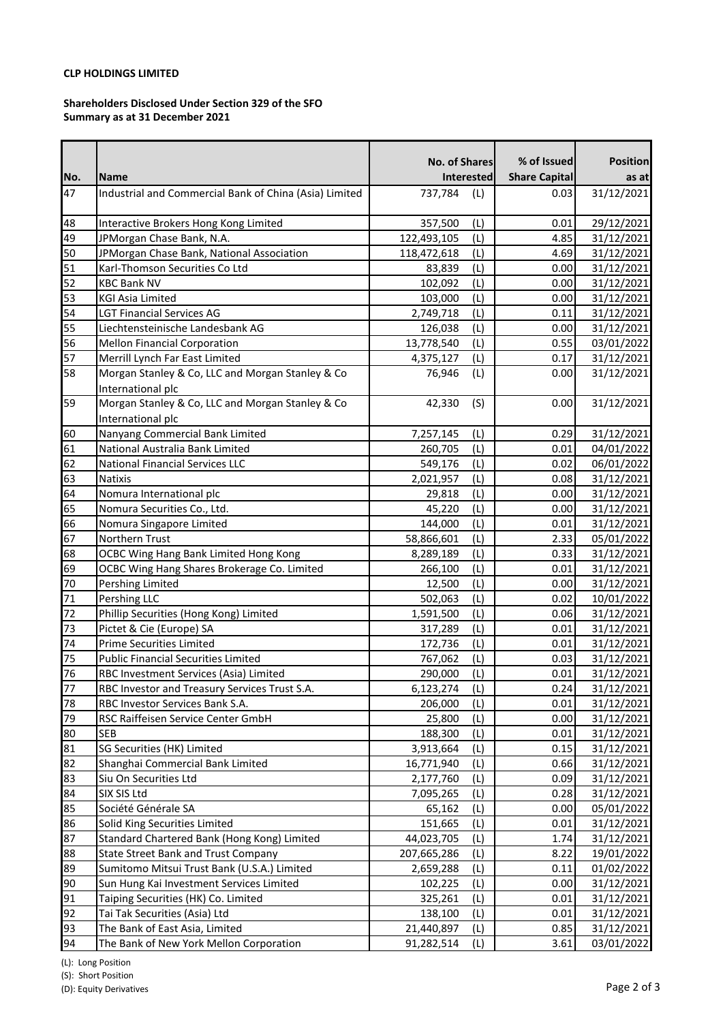# **CLP HOLDINGS LIMITED**

### **Shareholders Disclosed Under Section 329 of the SFO Summary as at 31 December 2021**

|     |                                                        | No. of Shares     |     | % of Issued          | <b>Position</b> |
|-----|--------------------------------------------------------|-------------------|-----|----------------------|-----------------|
| No. | <b>Name</b>                                            | <b>Interested</b> |     | <b>Share Capital</b> | as at           |
| 47  | Industrial and Commercial Bank of China (Asia) Limited | 737,784           | (L) | 0.03                 | 31/12/2021      |
|     |                                                        |                   |     |                      |                 |
| 48  | Interactive Brokers Hong Kong Limited                  | 357,500           | (L) | 0.01                 | 29/12/2021      |
| 49  | JPMorgan Chase Bank, N.A.                              | 122,493,105       | (L) | 4.85                 | 31/12/2021      |
| 50  | JPMorgan Chase Bank, National Association              | 118,472,618       | (L) | 4.69                 | 31/12/2021      |
| 51  | Karl-Thomson Securities Co Ltd                         | 83,839            | (L) | 0.00                 | 31/12/2021      |
| 52  | <b>KBC Bank NV</b>                                     | 102,092           | (L) | 0.00                 | 31/12/2021      |
| 53  | <b>KGI Asia Limited</b>                                | 103,000           | (L) | 0.00                 | 31/12/2021      |
| 54  | <b>LGT Financial Services AG</b>                       | 2,749,718         | (L) | 0.11                 | 31/12/2021      |
| 55  | Liechtensteinische Landesbank AG                       | 126,038           | (L) | 0.00                 | 31/12/2021      |
| 56  | <b>Mellon Financial Corporation</b>                    | 13,778,540        | (L) | 0.55                 | 03/01/2022      |
| 57  | Merrill Lynch Far East Limited                         | 4,375,127         | (L) | 0.17                 | 31/12/2021      |
| 58  | Morgan Stanley & Co, LLC and Morgan Stanley & Co       | 76,946            | (L) | 0.00                 | 31/12/2021      |
|     | International plc                                      |                   |     |                      |                 |
| 59  | Morgan Stanley & Co, LLC and Morgan Stanley & Co       | 42,330            | (S) | 0.00                 | 31/12/2021      |
|     | International plc                                      |                   |     |                      |                 |
| 60  | Nanyang Commercial Bank Limited                        | 7,257,145         | (L) | 0.29                 | 31/12/2021      |
| 61  | National Australia Bank Limited                        | 260,705           | (L) | 0.01                 | 04/01/2022      |
| 62  | <b>National Financial Services LLC</b>                 | 549,176           | (L) | 0.02                 | 06/01/2022      |
| 63  | <b>Natixis</b>                                         | 2,021,957         | (L) | 0.08                 | 31/12/2021      |
| 64  | Nomura International plc                               | 29,818            | (L) | 0.00                 | 31/12/2021      |
| 65  | Nomura Securities Co., Ltd.                            | 45,220            | (L) | 0.00                 | 31/12/2021      |
| 66  | Nomura Singapore Limited                               | 144,000           | (L) | 0.01                 | 31/12/2021      |
| 67  | Northern Trust                                         | 58,866,601        | (L) | 2.33                 | 05/01/2022      |
| 68  | OCBC Wing Hang Bank Limited Hong Kong                  | 8,289,189         | (L) | 0.33                 | 31/12/2021      |
| 69  | OCBC Wing Hang Shares Brokerage Co. Limited            | 266,100           | (L) | 0.01                 | 31/12/2021      |
| 70  | Pershing Limited                                       | 12,500            | (L) | 0.00                 | 31/12/2021      |
| 71  | Pershing LLC                                           | 502,063           | (L) | 0.02                 | 10/01/2022      |
| 72  | Phillip Securities (Hong Kong) Limited                 | 1,591,500         | (L) | 0.06                 | 31/12/2021      |
| 73  | Pictet & Cie (Europe) SA                               | 317,289           | (L) | 0.01                 | 31/12/2021      |
| 74  | <b>Prime Securities Limited</b>                        | 172,736           | (L) | 0.01                 | 31/12/2021      |
| 75  | <b>Public Financial Securities Limited</b>             | 767,062           | (L) | 0.03                 | 31/12/2021      |
| 76  | RBC Investment Services (Asia) Limited                 | 290,000           | (L) | 0.01                 | 31/12/2021      |
| 77  | RBC Investor and Treasury Services Trust S.A.          | 6,123,274         | (L) | 0.24                 | 31/12/2021      |
| 78  | RBC Investor Services Bank S.A.                        | 206,000           | (L) | 0.01                 | 31/12/2021      |
| 79  | RSC Raiffeisen Service Center GmbH                     | 25,800            | (L) | 0.00                 | 31/12/2021      |
| 80  | <b>SEB</b>                                             | 188,300           | (L) | 0.01                 | 31/12/2021      |
| 81  | SG Securities (HK) Limited                             | 3,913,664         | (L) | 0.15                 | 31/12/2021      |
| 82  | Shanghai Commercial Bank Limited                       | 16,771,940        | (L) | 0.66                 | 31/12/2021      |
| 83  | Siu On Securities Ltd                                  | 2,177,760         | (L) | 0.09                 | 31/12/2021      |
| 84  | SIX SIS Ltd                                            | 7,095,265         | (L) | 0.28                 | 31/12/2021      |
| 85  | Société Générale SA                                    | 65,162            | (L) | 0.00                 | 05/01/2022      |
| 86  | Solid King Securities Limited                          | 151,665           | (L) | 0.01                 | 31/12/2021      |
| 87  | Standard Chartered Bank (Hong Kong) Limited            | 44,023,705        | (L) | 1.74                 | 31/12/2021      |
| 88  | <b>State Street Bank and Trust Company</b>             | 207,665,286       | (L) | 8.22                 | 19/01/2022      |
| 89  | Sumitomo Mitsui Trust Bank (U.S.A.) Limited            | 2,659,288         | (L) | 0.11                 | 01/02/2022      |
| 90  | Sun Hung Kai Investment Services Limited               | 102,225           | (L) | 0.00                 | 31/12/2021      |
| 91  | Taiping Securities (HK) Co. Limited                    | 325,261           | (L) | 0.01                 | 31/12/2021      |
| 92  | Tai Tak Securities (Asia) Ltd                          | 138,100           | (L) | 0.01                 | 31/12/2021      |
| 93  | The Bank of East Asia, Limited                         | 21,440,897        | (L) | 0.85                 | 31/12/2021      |
| 94  | The Bank of New York Mellon Corporation                | 91,282,514        | (L) | 3.61                 | 03/01/2022      |

(L): Long Position

(S): Short Position

(D): Equity Derivatives Page 2 of 3